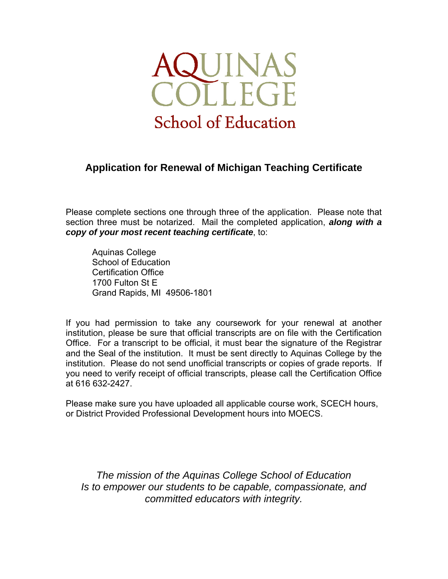

# **Application for Renewal of Michigan Teaching Certificate**

Please complete sections one through three of the application. Please note that section three must be notarized. Mail the completed application, *along with a copy of your most recent teaching certificate*, to:

 Aquinas College School of Education Certification Office 1700 Fulton St E Grand Rapids, MI 49506-1801

If you had permission to take any coursework for your renewal at another institution, please be sure that official transcripts are on file with the Certification Office. For a transcript to be official, it must bear the signature of the Registrar and the Seal of the institution. It must be sent directly to Aquinas College by the institution. Please do not send unofficial transcripts or copies of grade reports. If you need to verify receipt of official transcripts, please call the Certification Office at 616 632-2427.

Please make sure you have uploaded all applicable course work, SCECH hours, or District Provided Professional Development hours into MOECS.

*The mission of the Aquinas College School of Education Is to empower our students to be capable, compassionate, and committed educators with integrity.*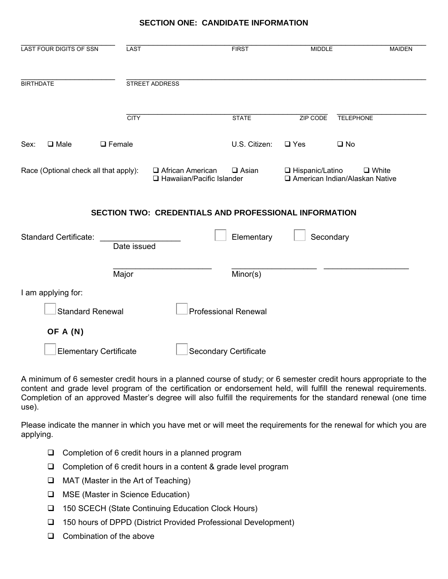# **SECTION ONE: CANDIDATE INFORMATION**

| <b>LAST FOUR DIGITS OF SSN</b>        | LAST          |                                                   |  | <b>FIRST</b>                                                               | <b>MIDDLE</b>     | <b>MAIDEN</b>                                    |  |
|---------------------------------------|---------------|---------------------------------------------------|--|----------------------------------------------------------------------------|-------------------|--------------------------------------------------|--|
| <b>BIRTHDATE</b>                      |               | <b>STREET ADDRESS</b>                             |  |                                                                            |                   |                                                  |  |
|                                       | <b>CITY</b>   |                                                   |  | <b>STATE</b>                                                               | ZIP CODE          | <b>TELEPHONE</b>                                 |  |
| $\square$ Male<br>Sex:                | $\Box$ Female |                                                   |  | U.S. Citizen:                                                              | $\square$ Yes     | $\square$ No                                     |  |
| Race (Optional check all that apply): |               | □ African American<br>□ Hawaiian/Pacific Islander |  | $\Box$ Asian                                                               | □ Hispanic/Latino | $\Box$ White<br>□ American Indian/Alaskan Native |  |
| <b>Standard Certificate:</b>          | Date issued   |                                                   |  | <b>SECTION TWO: CREDENTIALS AND PROFESSIONAL INFORMATION</b><br>Elementary | Secondary         |                                                  |  |
|                                       | Major         |                                                   |  | Minor(s)                                                                   |                   |                                                  |  |
| I am applying for:                    |               |                                                   |  |                                                                            |                   |                                                  |  |
| <b>Standard Renewal</b>               |               |                                                   |  | <b>Professional Renewal</b>                                                |                   |                                                  |  |
| OF A (N)                              |               |                                                   |  |                                                                            |                   |                                                  |  |
| <b>Elementary Certificate</b>         |               |                                                   |  | <b>Secondary Certificate</b>                                               |                   |                                                  |  |

A minimum of 6 semester credit hours in a planned course of study; or 6 semester credit hours appropriate to the content and grade level program of the certification or endorsement held, will fulfill the renewal requirements. Completion of an approved Master's degree will also fulfill the requirements for the standard renewal (one time use).

Please indicate the manner in which you have met or will meet the requirements for the renewal for which you are applying.

- $\Box$  Completion of 6 credit hours in a planned program
- □ Completion of 6 credit hours in a content & grade level program
- $\Box$  MAT (Master in the Art of Teaching)
- □ MSE (Master in Science Education)
- □ 150 SCECH (State Continuing Education Clock Hours)
- 150 hours of DPPD (District Provided Professional Development)
- $\Box$  Combination of the above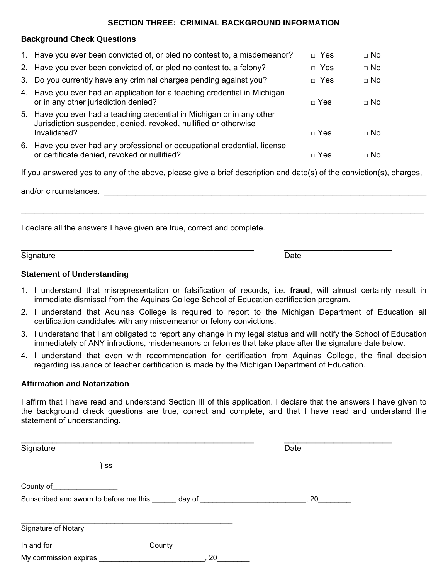#### **SECTION THREE: CRIMINAL BACKGROUND INFORMATION**

#### **Background Check Questions**

| 1. Have you ever been convicted of, or pled no contest to, a misdemeanor?                                                                                 | $\Box$ Yes | $\Box$ No |
|-----------------------------------------------------------------------------------------------------------------------------------------------------------|------------|-----------|
| 2. Have you ever been convicted of, or pled no contest to, a felony?                                                                                      | $\Box$ Yes | $\Box$ No |
| 3. Do you currently have any criminal charges pending against you?                                                                                        | $\Box$ Yes | $\Box$ No |
| 4. Have you ever had an application for a teaching credential in Michigan<br>or in any other jurisdiction denied?                                         | $\Box$ Yes | $\Box$ No |
| 5. Have you ever had a teaching credential in Michigan or in any other<br>Jurisdiction suspended, denied, revoked, nullified or otherwise<br>Invalidated? | $\Box$ Yes | $\Box$ No |
| 6. Have you ever had any professional or occupational credential, license<br>or certificate denied, revoked or nullified?                                 | $\neg$ Yes | $\Box$ No |

If you answered yes to any of the above, please give a brief description and date(s) of the conviction(s), charges,

\_\_\_\_\_\_\_\_\_\_\_\_\_\_\_\_\_\_\_\_\_\_\_\_\_\_\_\_\_\_\_\_\_\_\_\_\_\_\_\_\_\_\_\_\_\_\_\_\_\_\_\_\_\_\_\_\_\_\_\_\_\_\_\_\_\_\_\_\_\_\_\_\_\_\_\_\_\_\_\_\_\_\_\_\_\_\_\_\_\_

\_\_\_\_\_\_\_\_\_\_\_\_\_\_\_\_\_\_\_\_\_\_\_\_\_\_\_\_\_\_\_\_\_\_\_\_\_\_\_\_\_\_\_\_\_\_\_\_\_\_\_\_ \_\_\_\_\_\_\_\_\_\_\_\_\_\_\_\_\_\_\_\_\_\_\_\_

and/or circumstances. \_\_\_\_\_\_\_\_\_\_\_\_\_\_\_\_\_\_\_\_\_\_\_\_\_\_\_\_\_\_\_\_\_\_\_\_\_\_\_\_\_\_\_\_\_\_\_\_\_\_\_\_\_\_\_\_\_\_\_\_\_\_\_\_\_\_\_\_\_\_\_\_

I declare all the answers I have given are true, correct and complete.

Signature Date **Date** 

#### **Statement of Understanding**

- 1. I understand that misrepresentation or falsification of records, i.e. **fraud**, will almost certainly result in immediate dismissal from the Aquinas College School of Education certification program.
- 2. I understand that Aquinas College is required to report to the Michigan Department of Education all certification candidates with any misdemeanor or felony convictions.
- 3. I understand that I am obligated to report any change in my legal status and will notify the School of Education immediately of ANY infractions, misdemeanors or felonies that take place after the signature date below.
- 4. I understand that even with recommendation for certification from Aquinas College, the final decision regarding issuance of teacher certification is made by the Michigan Department of Education.

## **Affirmation and Notarization**

I affirm that I have read and understand Section III of this application. I declare that the answers I have given to the background check questions are true, correct and complete, and that I have read and understand the statement of understanding.

| Signature                                                                                                                | Date                                                                                                                                                                                                                                       |
|--------------------------------------------------------------------------------------------------------------------------|--------------------------------------------------------------------------------------------------------------------------------------------------------------------------------------------------------------------------------------------|
| $\}$ SS                                                                                                                  |                                                                                                                                                                                                                                            |
| County of                                                                                                                |                                                                                                                                                                                                                                            |
| Subscribed and sworn to before me this                                                                                   | day of <b>contract of the set of the set of the set of the set of the set of the set of the set of the set of the set of the set of the set of the set of the set of the set of the set of the set of the set of the set of the </b><br>20 |
| Signature of Notary                                                                                                      |                                                                                                                                                                                                                                            |
| County<br>In and for the same of the same of the same of the same of the same of the same of the same of the same of the |                                                                                                                                                                                                                                            |
| My commission expires                                                                                                    | 20                                                                                                                                                                                                                                         |